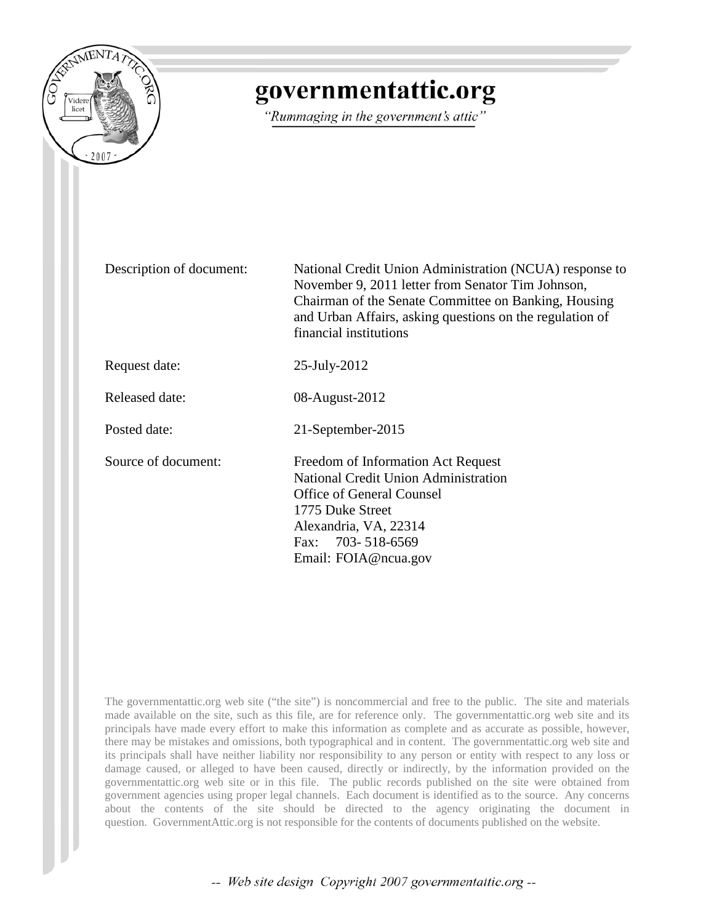

# governmentattic.org

"Rummaging in the government's attic"

Description of document: National Credit Union Administration (NCUA) response to November 9, 2011 letter from Senator Tim Johnson, Chairman of the Senate Committee on Banking, Housing and Urban Affairs, asking questions on the regulation of financial institutions

Request date: 25-July-2012

Released date: 08-August-2012

Posted date: 21-September-2015

Source of document: Freedom of Information Act Request National Credit Union Administration Office of General Counsel 1775 Duke Street Alexandria, VA, 22314 Fax: 703- 518-6569 Email: FOIA@ncua.gov

The governmentattic.org web site ("the site") is noncommercial and free to the public. The site and materials made available on the site, such as this file, are for reference only. The governmentattic.org web site and its principals have made every effort to make this information as complete and as accurate as possible, however, there may be mistakes and omissions, both typographical and in content. The governmentattic.org web site and its principals shall have neither liability nor responsibility to any person or entity with respect to any loss or damage caused, or alleged to have been caused, directly or indirectly, by the information provided on the governmentattic.org web site or in this file. The public records published on the site were obtained from government agencies using proper legal channels. Each document is identified as to the source. Any concerns about the contents of the site should be directed to the agency originating the document in question. GovernmentAttic.org is not responsible for the contents of documents published on the website.

-- Web site design Copyright 2007 governmentattic.org --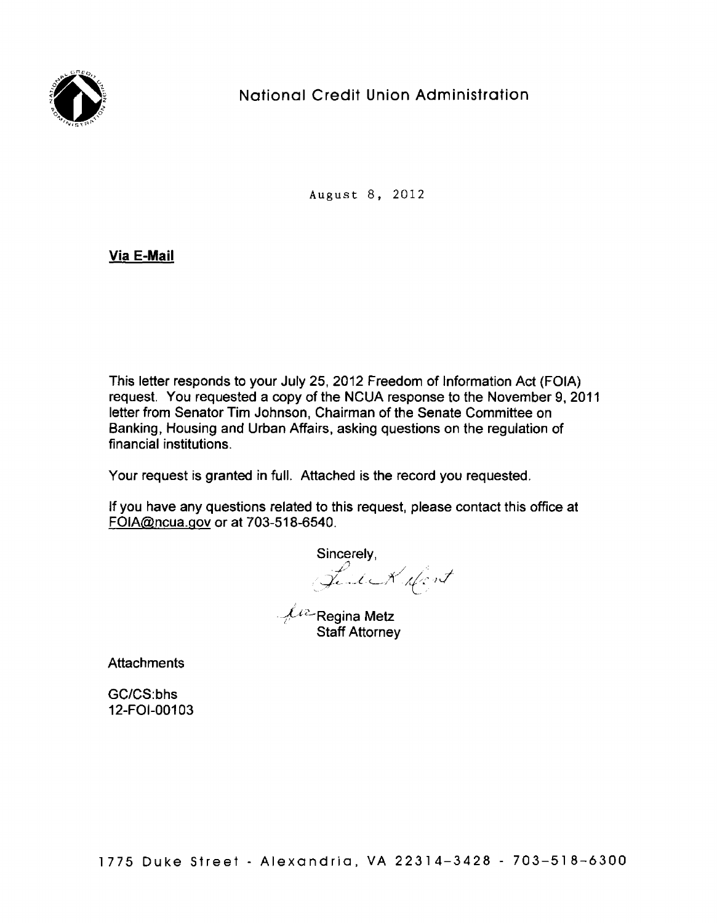

## National Credit Union Administration

August 8, 2012

### **Via E-Mail**

This letter responds to your July 25, 2012 Freedom of Information Act (FOIA) request. You requested a copy of the NCUA response to the November 9, 2011 letter from Senator Tim Johnson, Chairman of the Senate Committee on Banking, Housing and Urban Affairs, asking questions on the regulation of financial institutions.

Your request is granted in full. Attached is the record you requested.

If you have any questions related to this request, please contact this office at FOIA@ncua.gov or at 703-518-6540 .

 $\mathcal{L}^{\mu \nu}$ Regina Metz Staff Attorney

**Attachments** 

GC/CS:bhs 12-FOl-00103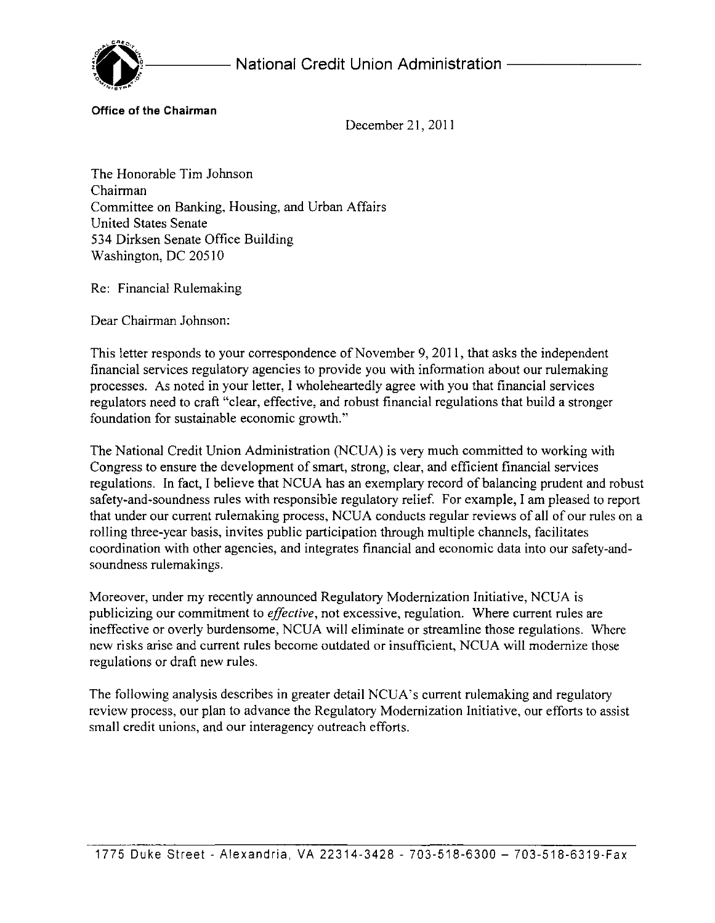

**Office of the Chairman** 

December 21, 2011

The Honorable Tim Johnson Chairman Committee on Banking, Housing, and Urban Affairs United States Senate 534 Dirksen Senate Office Building Washington, DC 20510

Re: Financial Rulemaking

Dear Chairman Johnson:

This letter responds to your correspondence of November 9, 2011, that asks the independent financial services regulatory agencies to provide you with information about our rulemaking processes, As noted in your letter, I wholeheartedly agree with you that financial services regulators need to craft "clear, effective, and robust financial regulations that build a stronger foundation for sustainable economic growth,''

The National Credit Union Administration (NCUA) is very much committed to working with Congress to ensure the development of smart, strong, clear, and efficient financial services regulations. In fact, I believe that NCUA has an exemplary record of balancing prudent and robust safety-and-soundness rules with responsible regulatory relief. For example, I am pleased to report that under our current rulemaking process, NCUA conducts regular reviews of all of our rules on a rolling three-year basis, invites public participation through multiple channels, facilitates coordination with other agencies, and integrates financial and economic data into our safety-andsoundness rulemakings.

Moreover, under my recently announced Regulatory Modernization Initiative, NCUA is publicizing our commitment to *effective,* not excessive, regulation. Where current rules are ineffective or overly burdensome, NCUA will eliminate or streamline those regulations. Where new risks arise and current rules become outdated or insufficient, NCUA will modernize those regulations or draft new rules.

The following analysis describes in greater detail NCUA's current rulemaking and regulatory review process, our plan to advance the Regulatory Modernization Initiative, our efforts to assist small credit unions, and our interagency outreach efforts.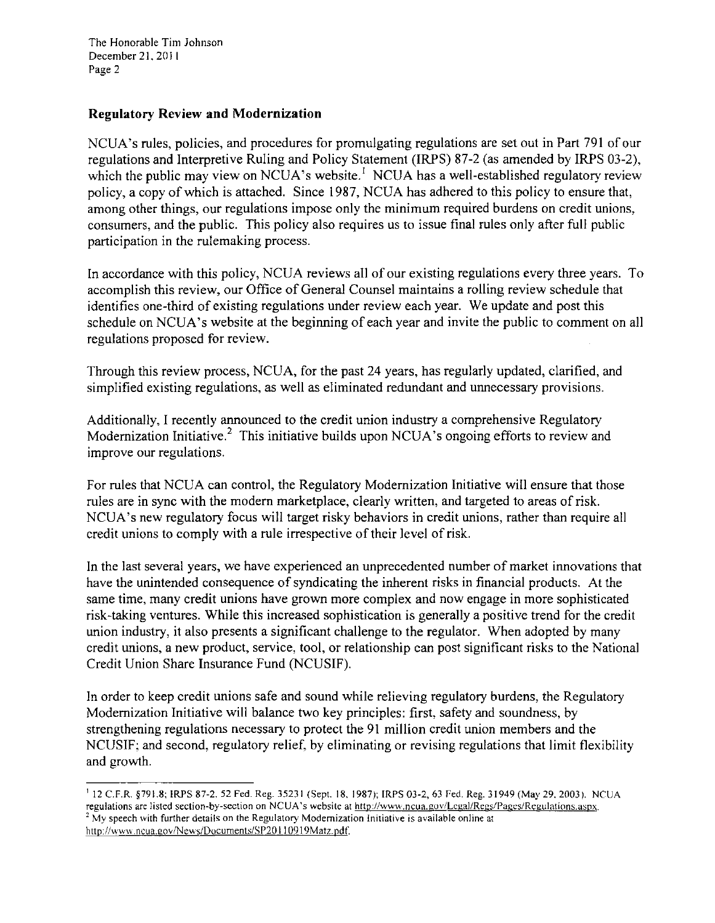The Honorable Tim Johnson December 21, 2011 Page 2

### **Regulatory Review and Modernization**

NCUA's rules, policies, and procedures for promulgating regulations are set out in Part 791 of our regulations and Interpretive Ruling and Policy Statement (!RPS) 87-2 (as amended by !RPS 03-2), which the public may view on NCUA's website.<sup> $1$ </sup> NCUA has a well-established regulatory review policy, a copy of which is attached. Since 1987, NCUA has adhered to this policy to ensure that, among other things, our regulations impose only the minimum required burdens on credit unions, consumers, and the public. This policy also requires us to issue final rules only after full public participation in the rulemaking process.

In accordance with this policy, NCUA reviews all of our existing regulations every three years. To accomplish this review, our Office of General Counsel maintains a rolling review schedule that identifies one-third of existing regulations under review each year. We update and post this schedule on NCUA's website at the beginning of each year and invite the public to comment on all regulations proposed for review.

Through this review process, NCUA, for the past 24 years, has regularly updated, clarified, and simplified existing regulations, as well as eliminated redundant and unnecessary provisions.

Additionally, I recently announced to the credit union industry a comprehensive Regulatory Modernization Initiative.<sup>2</sup> This initiative builds upon NCUA's ongoing efforts to review and improve our regulations.

For rules that NCUA can control, the Regulatory Modernization Initiative will ensure that those rules are in sync with the modern marketplace, clearly written, and targeted to areas of risk. NCUA's new regulatory focus will target risky behaviors in credit unions, rather than require all credit unions to comply with a rule irrespective of their level of risk.

In the last several years, we have experienced an unprecedented number of market innovations that have the unintended consequence of syndicating the inherent risks in financial products. At the same time, many credit unions have grown more complex and now engage in more sophisticated risk-taking ventures. While this increased sophistication is generally a positive trend for the credit union industry, it also presents a significant challenge to the regulator. When adopted by many credit unions, a new product, service, tool, or relationship can post significant risks to the National Credit Union Share Insurance Fund (NCUSIF).

In order to keep credit unions safe and sound while relieving regulatory burdens, the Regulatory Modernization Initiative will balance two key principles: first, safety and soundness, by strengthening regulations necessary to protect the 91 million credit union members and the NCUSIF; and second, regulatory relief, by eliminating or revising regulations that limit flexibility and growth.

<sup>&#</sup>x27; 12 C.F.R. §791.8; !RPS 87-2. 52 Fed. Reg. 35231 (Sept. 18, 1987); !RPS 03-2, 63 Fed. Reg. 31949 (May 29. 2003 ). NCUA **regulations are listed section-by-section on NCUA 's website at http://wwv •. ncua.gov/Legal/Regs/Pages/Reeulations.aspx.** <sup>2</sup> My speech with further details on the Regulatory Modernization Initiative is available online at http://www.ncua.gov/News/Documents/SP20110919Matz.pdf.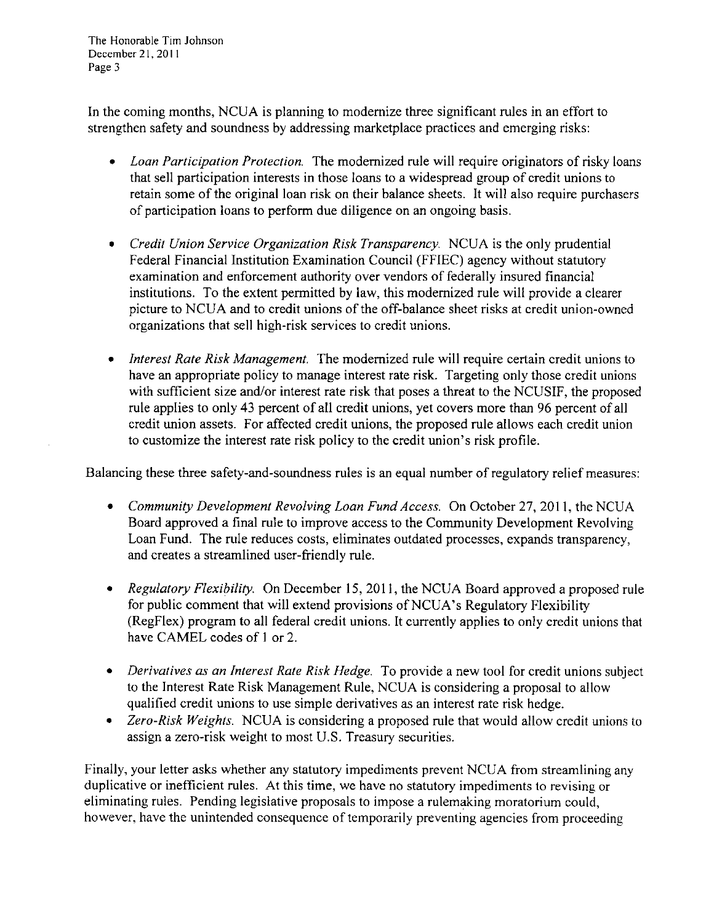The Honorable Tim Johnson December 21, 2011 Page 3

In the coming months, NCUA is planning to modernize three significant rules in an effort to strengthen safety and soundness by addressing marketplace practices and emerging risks:

- *Loan Participation Protection.* The modernized rule will require originators of risky loans that sell participation interests in those loans to a widespread group of credit unions to retain some of the original loan risk on their balance sheets. It will also require purchasers of participation loans to perform due diligence on an ongoing basis.
- *Credit Union Service Organization Risk Transparency.* NCUA is the only prudential Federal Financial Institution Examination Council (FFIEC) agency without statutory examination and enforcement authority over vendors of federally insured financial institutions. To the extent permitted by law, this modernized rule will provide a clearer picture to NCUA and to credit unions of the off-balance sheet risks at credit union-owned organizations that sell high-risk services to credit unions.
- *Interest Rate Risk Management.* The modernized rule will require certain credit unions to have an appropriate policy to manage interest rate risk. Targeting only those credit unions with sufficient size and/or interest rate risk that poses a threat to the NCUSIF, the proposed rule applies to only 43 percent of all credit unions, yet covers more than 96 percent of all credit union assets. For affected credit unions, the proposed rule allows each credit union to customize the interest rate risk policy to the credit union's risk profile.

Balancing these three safety-and-soundness rules is an equal number of regulatory relief measures:

- *Community Development Revolving Loan Fund Access.* On October 27, 2011, the NCUA Board approved a final rule to improve access to the Community Development Revolving Loan Fund. The rule reduces costs, eliminates outdated processes, expands transparency, and creates a streamlined user-friendly rule.
- *Regulatory Flexibility.* On December 15, 2011, the NCUA Board approved a proposed rule for public comment that will extend provisions of NCUA's Regulatory Flexibility (RegFlex) program to all federal credit unions. It currently applies to only credit unions that have CAMEL codes of I or 2.
- *Derivatives as an Interest Rate Risk Hedge.* To provide a new tool for credit unions subject to the Interest Rate Risk Management Rule, NCUA is considering a proposal to allow qualified credit unions to use simple derivatives as an interest rate risk hedge.
- *Zero-Risk Weights.* NCUA is considering a proposed rule that would allow credit unions to assign a zero-risk weight to most U.S. Treasury securities.

Finally, your letter asks whether any statutory impediments prevent NCUA from streamlining any duplicative or inefficient rules. At this time, we have no statutory impediments to revising or eliminating rules. Pending legislative proposals to impose a rulemaking moratorium could, however, have the unintended consequence of temporarily preventing agencies from proceeding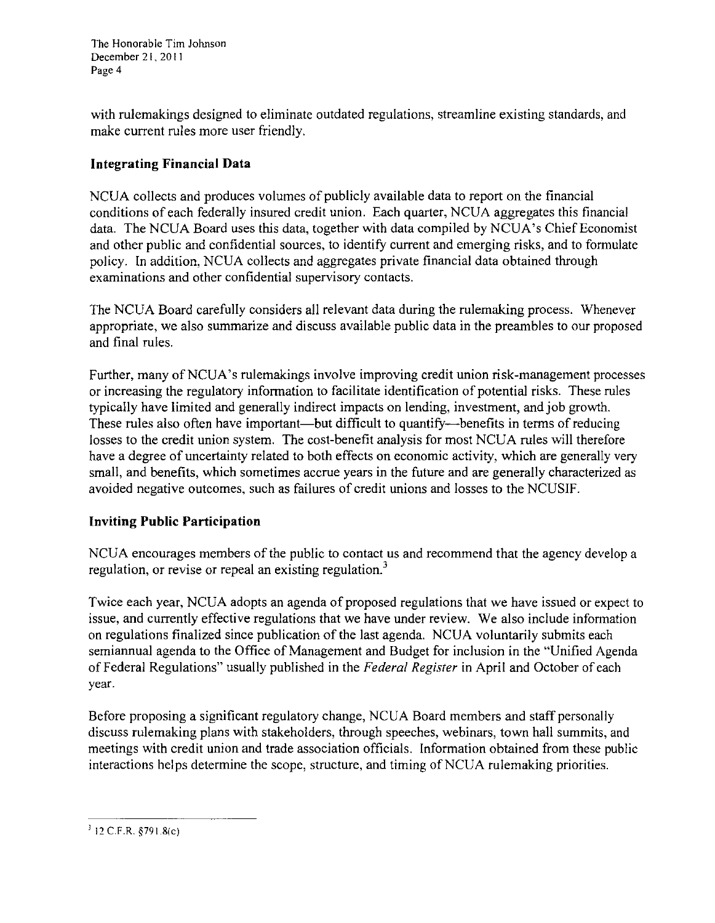The Honorable Tim Johnson December 21, 2011 Page 4

with rulemakings designed to eliminate outdated regulations, streamline existing standards, and make current rules more user friendly.

### **Integrating Financial Data**

NCUA collects and produces volumes of publicly available data to report on the financial conditions of each federally insured credit union. Each quarter, NCUA aggregates this financial data. The NCUA Board uses this data, together with data compiled by NCUA's Chief Economist and other public and confidential sources, to identify current and emerging risks, and to formulate policy. In addition, NCUA collects and aggregates private financial data obtained through examinations and other confidential supervisory contacts.

The NCUA Board carefully considers all relevant data during the rulemaking process. Whenever appropriate, we also summarize and discuss available public data in the preambles to our proposed and final rules.

Further, many of NCUA's rulemakings involve improving credit union risk-management processes or increasing the regulatory information to facilitate identification of potential risks. These rules typically have limited and generally indirect impacts on lending, investment, and job growth. These rules also often have important—but difficult to quantify--benefits in terms of reducing losses to the credit union system. The cost-benefit analysis for most NCUA rules will therefore have a degree of uncertainty related to both effects on economic activity, which are generally very small, and benefits, which sometimes accrue years in the future and are generally characterized as avoided negative outcomes, such as failures of credit unions and losses to the NCUSIF.

### **Inviting Public Participation**

NCUA encourages members of the public to contact us and recommend that the agency develop a regulation, or revise or repeal an existing regulation.<sup>3</sup>

Twice each year, NCUA adopts an agenda of proposed regulations that we have issued or expect to issue, and currently effective regulations that we have under review. We also include information on regulations finalized since publication of the last agenda. NCUA voluntarily submits each semiannual agenda to the Office of Management and Budget for inclusion in the "Unified Agenda of Federal Regulations" usually published in the *Federal Register* in April and October of each year.

Before proposing a significant regulatory change, NCUA Board members and staff personally discuss rulemaking plans with stakeholders, through speeches, webinars, town hall summits, and meetings with credit union and trade association officials. Information obtained from these public interactions helps determine the scope, structure, and timing of NCUA rulemaking priorities.

 $312$  C.F.R. §791.8(c)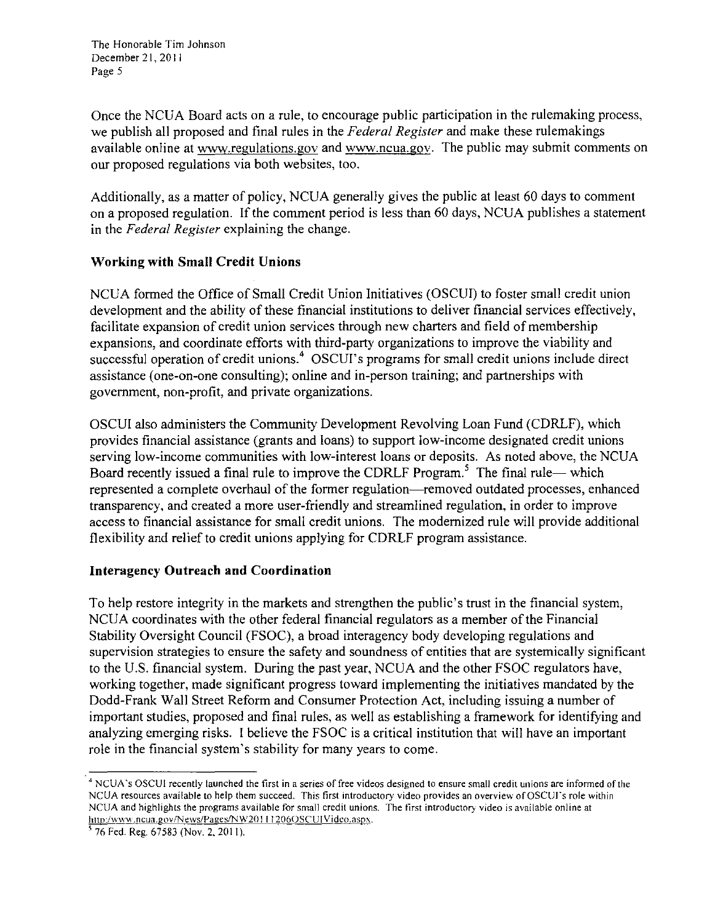The Honorable Tim Johnson December 21, 20 I I Page 5

Once the NCUA Board acts on a rule, to encourage public participation in the rulemaking process, we publish all proposed and final rules in the *Federal Register* and make these rulemakings available online at www.regulations.gov and www.ncua.gov. The public may submit comments on our proposed regulations via both websites, too.

Additionally, as a matter of policy, NCUA generally gives the public at least 60 days to comment on a proposed regulation. If the comment period is less than 60 days, NCUA publishes a statement in the *Federal Register* explaining the change.

### **Working with Small Credit Unions**

NCUA formed the Office of Small Credit Union Initiatives (OSCUI) to foster small credit union development and the ability of these financial institutions to deliver financial services effectively, facilitate expansion of credit union services through new charters and field of membership expansions, and coordinate efforts with third-party organizations to improve the viability and successful operation of credit unions.<sup>4</sup> OSCUI's programs for small credit unions include direct assistance (one-on-one consulting); online and in-person training; and partnerships with government, non-profit, and private organizations.

OSCUI also administers the Community Development Revolving Loan Fund (CDRLF), which provides financial assistance (grants and loans) to support low-income designated credit unions serving low-income communities with low-interest loans or deposits. As noted above, the NCUA Board recently issued a final rule to improve the CDRLF Program.<sup>5</sup> The final rule- which represented a complete overhaul of the former regulation-removed outdated processes, enhanced transparency, and created a more user-friendly and streamlined regulation, in order to improve access to financial assistance for small credit unions. The modernized rule will provide additional flexibility and relief to credit unions applying for CDRLF program assistance.

### **Interagency Outreach and Coordination**

To help restore integrity in the markets and strengthen the public's trust in the financial system, NCUA coordinates with the other federal financial regulators as a member of the Financial Stability Oversight Council (FSOC), a broad interagency body developing regulations and supervision strategies to ensure the safety and soundness of entities that are systemically significant to the U.S. financial system. During the past year, NCUA and the other FSOC regulators have, working together, made significant progress toward implementing the initiatives mandated by the Dodd-Frank Wall Street Reform and Consumer Protection Act, including issuing a number of important studies, proposed and final rules, as well as establishing a framework for identifying and analyzing emerging risks. I believe the FSOC is a critical institution that will have an important role in the financial system's stability for many years to come.

*<sup>4</sup>***NCUA 's OSCUI recently launched the first in a series of free videos designed to ensure small credit unions are informed of the**  NCUA resources available to help them succeed. This first introductory video provides an overview of OSCUI's role within **NCUA and highlights the programs available for small credit unions. The first introductory video is available online at**  http:/www.ncua.gov/News/Pages/NW20111206OSCUIVideo.aspx.

<sup>&</sup>lt;sup>5</sup> 76 Fed. Reg. 67583 (Nov. 2, 2011).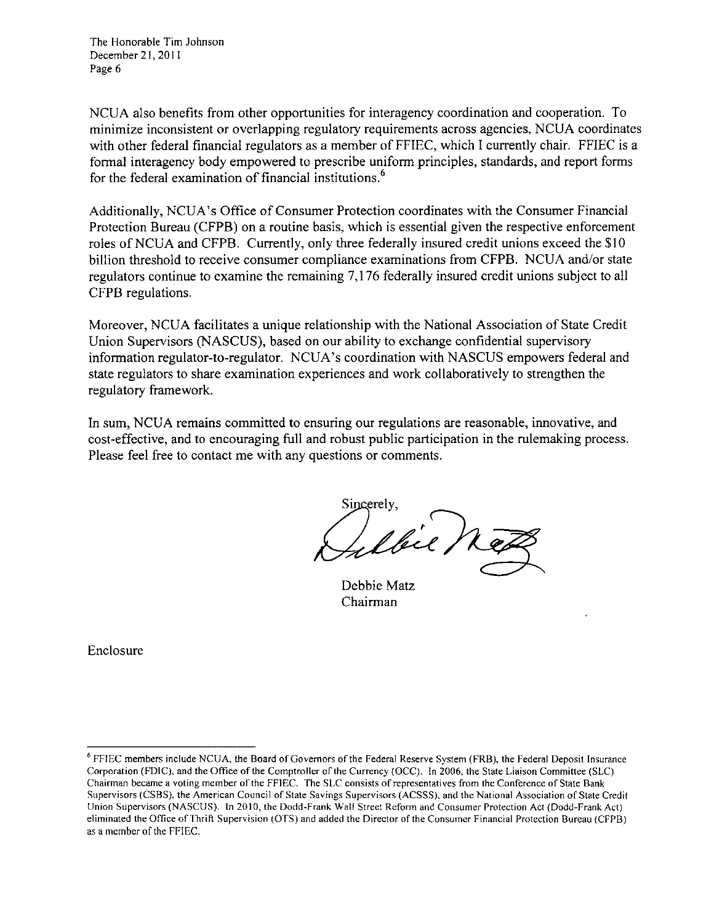The Honorable Tim Johnson December 21, 2011 Page 6

NCUA also benefits from other opportunities for interagency coordination and cooperation. To minimize inconsistent or overlapping regulatory requirements across agencies, NCUA coordinates with other federal financial regulators as a member of FFIEC, which I currently chair. FFIEC is a formal interagency body empowered to prescribe uniform principles, standards, and report forms for the federal examination of financial institutions.<sup>6</sup>

Additionally, NCUA 's Office of Consumer Protection coordinates with the Consumer Financial Protection Bureau (CFPB) on a routine basis, which is essential given the respective enforcement roles of NCUA and CFPB. Currently, only three federally insured credit unions exceed the \$10 billion threshold to receive consumer compliance examinations from CFPB. NCUA and/or state regulators continue to examine the remaining 7, 176 federally insured credit unions subject to all CFPB regulations.

Moreover, NCUA facilitates a unique relationship with the National Association of State Credit Union Supervisors (NASCUS), based on our ability to exchange confidential supervisory information regulator-to-regulator. NCUA's coordination with NASCUS empowers federal and state regulators to share examination experiences and work collaboratively to strengthen the regulatory framework.

In sum, NCUA remains committed to ensuring our regulations are reasonable, innovative, and cost-effective, and to encouraging full and robust public participation in the rulemaking process. Please feel free to contact me with any questions or comments.

Sincerelv

Debbie Matz Chairman

Enclosure

<sup>6</sup>**FFIEC members include NCUA, the Board of Governors of the Federal Reserve System (FRB), the Federal Deposit Insurance Corporation (FDIC), and the Office of the Comptroller of the Currency (OCC). In 2006. the State Liaison Committee (SLC) Chainnan became a voting member of the FFIEC. The SLC consists of representatives from the Conference of State Bank Supervisors (CSBS), the American Council of State Savings Supervisors (ACSSS), and the National Association of State Credit**  Union Supervisors (NASCUS). In 2010, the Dodd-Frank Wall Street Reform and Consumer Protection Act (Dodd-Frank Act) eliminated the Office of Thrift Supervision (OTS) and added the Director of the Consumer Financial Protection Bureau (CFPB) as a member of the FFIEC.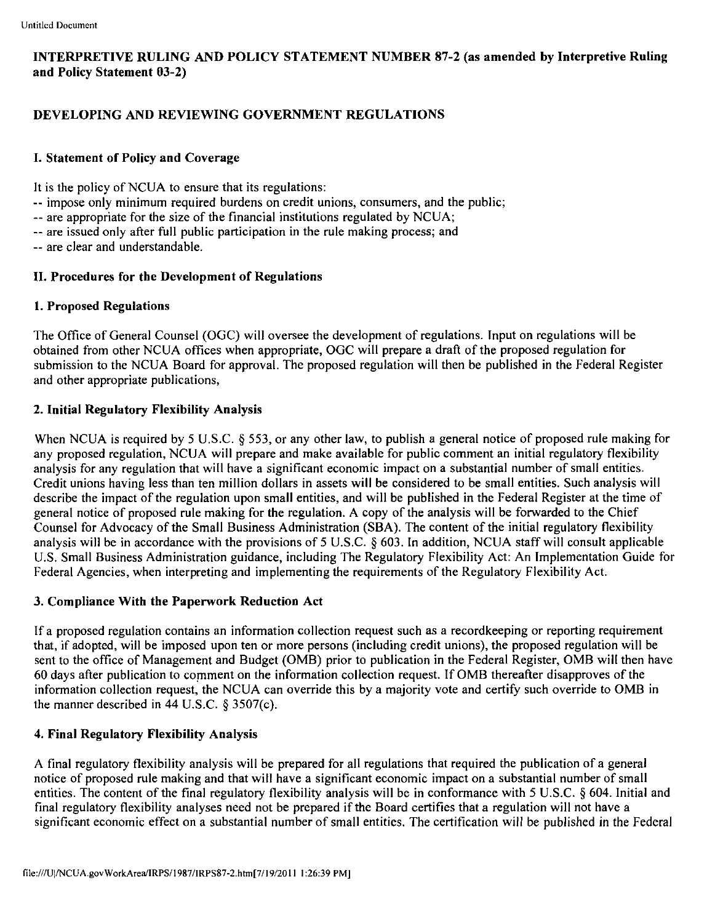### INTERPRETIVE RULING AND POLICY STATEMENT NUMBER 87-2 (as amended by Interpretive Ruling and Policy Statement 03-2)

### DEVELOPING AND REVIEWING GOVERNMENT REGULATIONS

### I. Statement of Policy and Coverage

It is the policy of NCUA to ensure that its regulations:

- -- impose only minimum required burdens on credit unions, consumers, and the public;
- -- are appropriate for the size of the financial institutions regulated by NCUA;
- -- are issued only after full public participation in the rule making process; and
- -- are clear and understandable.

### II. Procedures for the Development of Regulations

### 1. Proposed Regulations

The Office of General Counsel (OGC) will oversee the development of regulations. Input on regulations will be obtained from other NCUA offices when appropriate, OGC will prepare a draft of the proposed regulation for submission to the NCUA Board for approval. The proposed regulation will then be published in the Federal Register and other appropriate publications,

### 2. Initial Regulatory Flexibility Analysis

When NCUA is required by 5 U.S.C. § 553, or any other law, to publish a general notice of proposed rule making for any proposed regulation, NCUA will prepare and make available for public comment an initial regulatory flexibility analysis for any regulation that will have a significant economic impact on a substantial number of small entities. Credit unions having less than ten million dollars in assets will be considered to be small entities. Such analysis will describe the impact of the regulation upon small entities, and will be published in the Federal Register at the time of general notice of proposed rule making for the regulation. A copy of the analysis will be forwarded to the Chief Counsel for Advocacy of the Small Business Administration (SBA). The content of the initial regulatory flexibility analysis will be in accordance with the provisions of 5 U.S.C. § 603. In addition, NCUA staff will consult applicable U.S. Small Business Administration guidance, including The Regulatory Flexibility Act: An Implementation Guide for Federal Agencies, when interpreting and implementing the requirements of the Regulatory Flexibility Act.

### 3. Compliance With the Paperwork Reduction Act

If a proposed regulation contains an information collection request such as a recordkeeping or reporting requirement that, if adopted, will be imposed upon ten or more persons (including credit unions), the proposed regulation will be sent to the office of Management and Budget (OMB) prior to publication in the Federal Register, OMB will then have 60 days after publication to comment on the information collection request. If OMB thereafter disapproves of the information collection request, the NCUA can override this by a majority vote and certify such override to OMB in the manner described in 44 U.S.C.  $\S 3507(c)$ .

### 4. Final Regulatory Flexibility Analysis

A final regulatory flexibility analysis will be prepared for all regulations that required the publication of a general notice of proposed rule making and that will have a significant economic impact on a substantial number of small entities. The content of the final regulatory flexibility analysis will be in conformance with 5 U.S.C. § 604. Initial and final regulatory flexibility analyses need not be prepared if the Board certifies that a regulation will not have a significant economic effect on a substantial number of small entities. The certification will be published in the Federal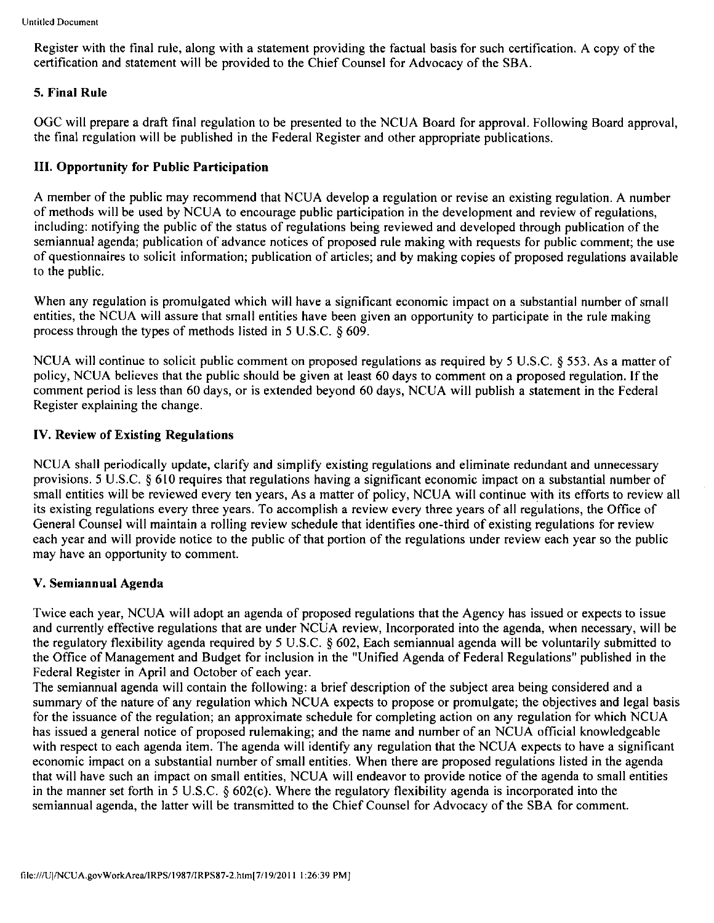Register with the final rule, along with a statement providing the factual basis for such certification. A copy of the certification and statement will be provided to the Chief Counsel for Advocacy of the SBA.

### **5. Final Rule**

OGC will prepare a draft final regulation to be presented to the NCUA Board for approval. Following Board approval, the final regulation will be published in the Federal Register and other appropriate publications.

### **III. Opportunity for Public Participation**

A member of the public may recommend that NCUA develop a regulation or revise an existing regulation. A number of methods will be used by NCUA to encourage public participation in the development and review of regulations, including: notifying the public of the status of regulations being reviewed and developed through publication of the semiannual agenda; publication of advance notices of proposed rule making with requests for public comment; the use of questionnaires to solicit information; publication of articles; and by making copies of proposed regulations available to the public.

When any regulation is promulgated which will have a significant economic impact on a substantial number of small entities, the NCUA will assure that small entities have been given an opportunity to participate in the rule making process through the types of methods listed in 5 U.S.C. § 609.

NCUA will continue to solicit public comment on proposed regulations as required by 5 U.S.C. § 553. As a matter of policy, NCUA believes that the public should be given at least 60 days to comment on a proposed regulation. If the comment period is less than 60 days, or is extended beyond 60 days, NCUA will publish a statement in the Federal Register explaining the change.

### **IV. Review of Existing Regulations**

NCUA shall periodically update, clarify and simplify existing regulations and eliminate redundant and unnecessary provisions. 5 U.S.C. § 610 requires that regulations having a significant economic impact on a substantial number of small entities will be reviewed every ten years, As a matter of policy, NCUA will continue with its efforts to review all its existing regulations every three years. To accomplish a review every three years of all regulations, the Office of General Counsel will maintain a rolling review schedule that identifies one-third of existing regulations for review each year and will provide notice to the public of that portion of the regulations under review each year so the public may have an opportunity to comment.

### **V. Semiannual Agenda**

Twice each year, NCUA will adopt an agenda of proposed regulations that the Agency has issued or expects to issue and currently effective regulations that are under NCUA review, Incorporated into the agenda, when necessary, will be the regulatory flexibility agenda required by 5 U .S.C. § 602, Each semiannual agenda will be voluntarily submitted to the Office of Management and Budget for inclusion in the "Unified Agenda of Federal Regulations" published in the Federal Register in April and October of each year.

The semiannual agenda will contain the following: a brief description of the subject area being considered and a summary of the nature of any regulation which NCUA expects to propose or promulgate; the objectives and legal basis for the issuance of the regulation; an approximate schedule for completing action on any regulation for which NCUA has issued a general notice of proposed rulemaking; and the name and number of an NCUA official knowledgeable with respect to each agenda item. The agenda will identify any regulation that the NCUA expects to have a significant economic impact on a substantial number of small entities. When there are proposed regulations listed in the agenda that will have such an impact on small entities, NCUA will endeavor to provide notice of the agenda to small entities in the manner set forth in 5 U.S.C. § 602(c). Where the regulatory flexibility agenda is incorporated into the semiannual agenda, the latter will be transmitted to the Chief Counsel for Advocacy of the SBA for comment.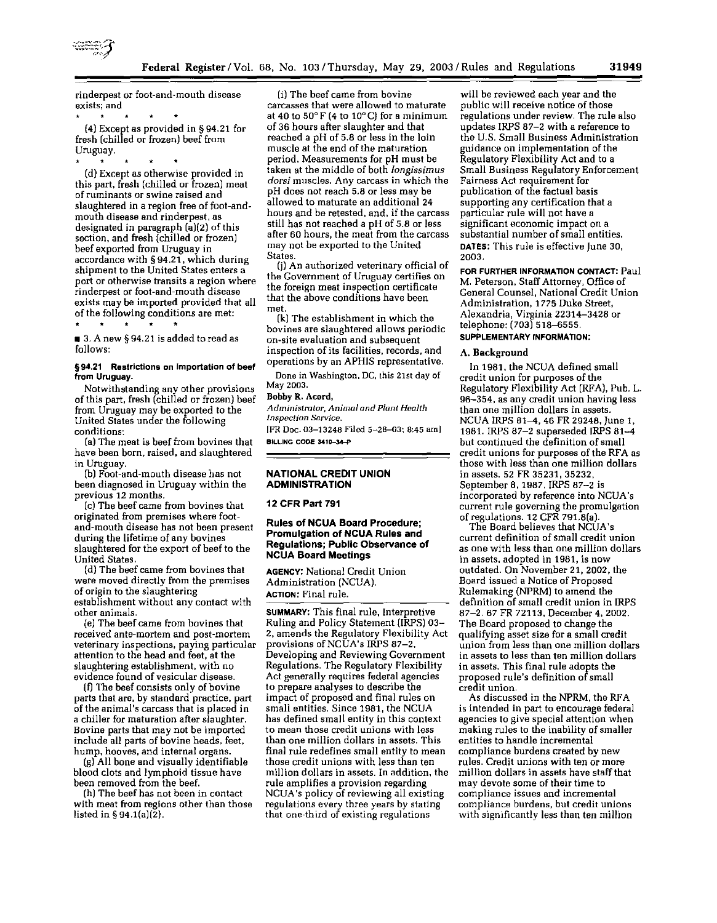

rinderpest or foot-and-mouth disease exists; and

• • (4) Except as provided in§ 94.21 for fresh (chilled or frozen) beef from Uruguay.

•

(d} Except as otherwise provided in this part, fresh (chilled or frozen) meat of ruminants or swine raised and slaughtered in a region free of foot-andmouth disease and rinderpest, as designated in paragraph (a)(2) of this section, and fresh (chilled or frozen) beef exported from Uruguay in accordance with § 94 .21, which during shipment to the United States enters a port or otherwise transits a region where rinderpest or foot-and-mouth disease exists may be imported provided that all of the following conditions are met:<br> $\begin{array}{ccc} \star & \star & \star & \star \\ \star & \star & \star & \star \end{array}$  $\bullet$ 

■ 3. A new § 94.21 is added to read as follows:

#### § 94.21 Restrictions on importation of beef from Uruguay.

Notwithstanding any other provisions of this part, fresh (chilled or frozen) beef from Uruguay may be exported to the United States under the following conditions:

(a} The meat is beef from bovines that have been born, raised, and slaughtered in Uruguay.

(b) Foot-and-mouth disease has not been diagnosed in Uruguay within the previous 12 months.

(c) The beef came from bovines that originated from premises where footand-mouth disease has not been present during the lifetime of any bovines slaughtered for the export of beef to the United States.

(d) The beef came from bovines that were moved directly from the premises of origin to the slaughtering establishment without any contact with other animals.

(e) The beef came from bovines that received ante-mortem and post-mortem veterinary inspections, paying particular attention to the head and feet, at the slaughtering establishment, with no evidence found of vesicular disease.

(f1 The beef consists only of bovine parts that are, by standard practice, part of the animal's carcass that is placed in a chiller for maturation after slaughter. Bovine parts that may not be imported include all parts of bovine heads, feet, hump, hooves, and internal organs.

(g) All bone and visually identifiable blood clots and lymphoid tissue have been removed from the beef.

(h) The beef has not been in contact with meat from regions other than those listed in § 94.1(a) $(\overline{2})$ .

(i) The beef came from bovine carcasses that were allowed to maturate at 40 to 50° F (4 to 10°C) for a minimum of 36 hours after slaughter and that reached a pH of 5.8 or less in the loin muscle at the end of the maturation period. Measurements for pH must be taken at the middle of both */ongissimus dorsi* muscles. Any carcass in which the pH does not reach 5.8 or less may be allowed to maturate an additional 24 hours and be retested, and, if the carcass still has not reached a pH of 5.8 or less after 60 hours, the meat from the carcass may not be exported to the United States.

(j) An authorized veterinary official of the Government of Uruguay certifies on the foreign meat inspection certificate that the above conditions have been met.

(k) The establishment in which the bovines are slaughtered allows periodic on-site evaluation and subsequent inspection of its facilities, records, and operations by an APHIS representative.

Done in Washington, DC, this 21st day of May 2003.

#### Bobby R. Acord,

*Administrator, Animal and Plant Health Inspection Sorvice.* 

[FR Doc. 03-13248 Filed 5-28-03; 8:45 am] BILLING CODE 3410-34-P

#### NATIONAL CREDIT UNION ADMINISTRATION

12 CFR Part 791

#### Rules of NCUA Board Procedure; Promulgation of NCUA Rules and Regulations; Public Observance of NCUA Board Meetings

AGENCY: National Credit Union Administration (NCUA). ACTION: Final rule.

SUMMARY: This final rule, Interpretive Ruling and Policy Statement (!RPS) 03- 2, amends the Regulatory Flexibility Act provisions of NCUA's IRPS 87-2, Developing and Reviewing Government Regulations. The Regulatory Flexibility Act generally requires federal agencies to prepare analyses to describe the impact of proposed and final rules on small entities. Since 1981, the NCUA has defined small entity in this context to mean those credit unions with less than one million dollars in assets. This final rule redefines small entity to mean those credit unions with less than ten million dollars in assets. In addition, the rule amplifies a provision regarding NCUA 's policy of reviewing all existing regulations every three years by stating that one-third of existing regulations

will be reviewed each year and the public will receive notice of those regulations under review. The rule also updates !RPS 87-2 with a reference to the U.S. Small Business Administration guidance on implementation of the Regulatory Flexibility Act and to a Small Business Regulatory Enforcement Fairness Act requirement for publication of the factual basis supporting any certification that a particular rule will not have a significant economic impact on a substantial number of small entities. DATES: This rule is effective June 30, 2003.

FOR FURTHER INFORMATION CONTACT: Paul M. Peterson, Staff Attorney, Office of General Counsel, National Credit Union Administration, 1775 Duke Street, Alexandria, Virginia 22314-3428 or telephone: (703) 518-6555. SUPPLEMENTARY INFORMATION:

#### A. Background

In 1981, the NCUA defined small credit union for purposes of the Regulatory Flexibility Act (RFA), Pub. L. 96-354, as any credit union having less than one million dollars in assets. NCUA !RPS 81-4, 46 FR 29248, June 1, 1981. !RPS 87-2 superseded !RPS 81-4 but continued the definition of small credit unions for purposes of the RFA as those with less than one million dollars in assets. 52 FR 35231, 35232, September 8, 1987. !RPS 87-2 is incorporated by reference into NCUA's current rule governing the promulgation of regulations. 12 CFR 791.8(a).

The Board believes that NCUA 's current definition of small credit union as one with less than one million dollars in assets, adopted in 1981, is now outdated. On November 21, 2002, the Board issued a Notice of Proposed Rulemaking (NPRM) to amend the definition of small credit union in IRPS 87-2. 67 FR 72113, December 4, 2002. The Board proposed to change the qualifying asset size for a small credit union from less than one million dollars in assets to less than ten million dollars in assets. This final rule adopts the proposed rule's definition of small credit union.

As discussed in the NPRM, the RFA is intended in part to encourage federal agencies to give special attention when making rules to the inability of smaller entities to handle incremental compliance burdens created by new rules. Credit unions with ten or more million dollars in assets have staff that may devote some of their time to compliance issues and incremental compliance burdens, but credit unions with significantly less than ten million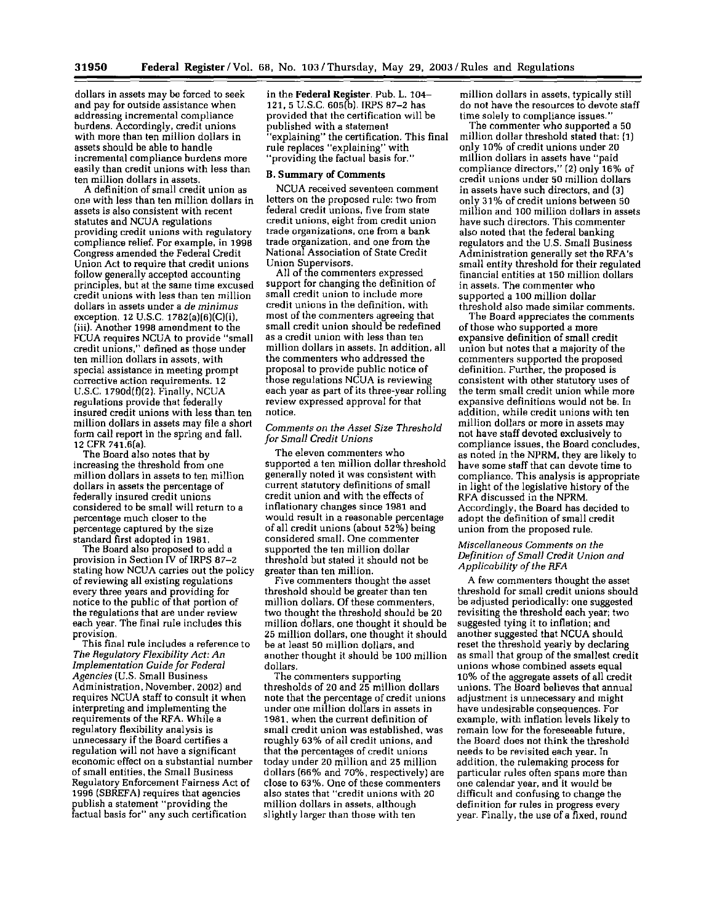dollars in assets may be forced to seek and pay for outside assistance when addressing incremental compliance burdens. Accordingly, credit unions with more than ten million dollars in assets should be able to handle incremental compliance burdens more easily than credit unions with less than ten million dollars in assets.

A definition of small credit union as one with less than ten million dollars in assets is also consistent with recent statutes and NCUA regulations providing credit unions with regulatory compliance relief. For example, in 1998 Congress amended the Federal Credit Union Act to require that credit unions follow generally accepted accounting principles, but at the same time excused credit unions with less than ten million dollars in assets under a *de minim us* exception. 12 U.S.C. 1782[a)[6)[C)(i), (iii}. Another 1998 amendment to the FCUA requires NCUA to provide "small credit unions," defined as those under ten million dollars in assets, with special assistance in meeting prompt corrective action requirements. 12 U.S.C.  $1790d(f)(2)$ . Finally, NCUA regulations provide that federally insured credit unions with less than ten million dollars in assets may file a short form call report in the spring and fall. 12 CFR 74t.6[a).

The Board also notes that by increasing the threshold from one million dollars in assets to ten million dollars in assets the percentage of federally insured credit unions considered to be small will return to a percentage much closer to the percentage captured by the size standard first adopted in 1981.

The Board also proposed to add a provision in Section IV of IRPS 87-2 stating how NCUA carries out the policy of reviewing all existing regulations every three years and providing for notice to the public of that portion of the regulations that are under review each year. The final rule includes this provision.

This final rule includes a reference to *The Regulatory Flexibility Act: An Implementation Guide for Federal Agencies* (U.S. Small Business Administration, November, 2002) and requires NCUA staff to consult it when interpreting and implementing the requirements of the RFA. While a regulatory flexibility analysis is unnecessary if the Board certifies a regulation will not have a significant economic effect on a substantial number of small entities, the Small Business Regulatory Enforcement Fairness Act of 1996 (SBREF A) requires that agencies publish a statement "providing the factual basis for" any such certification

in the Federal Register. Pub. L. 104- 121, 5 U.S.C. 605(b). !RPS 87-2 has provided that the certification will be published with a statement "explaining" the certification. This final rule replaces "explaining" with "providing the factual basis for."

#### B. Summary of Comments

NCUA received seventeen comment letters on the proposed rule: two from federal credit unions, five from state credit unions, eight from credit union trade organizations, one from a bank trade organization, and one from the National Association of State Credit Union Supervisors.

All of the commenters expressed support for changing the definition of small credit union to include more credit unions in the definition, with most of the commenters agreeing that small credit union should be redefined as a credit union with less than ten million dollars in assets. In addition, all the commenters who addressed the proposal to provide public notice of those regulations NCUA is reviewing each year as part of its three-year rolling review expressed approval for that notice.

#### *Comments on the Asset Size Threshold for Small Credit Unions*

The eleven commenters who supported a ten million dollar threshold generally noted it was consistent with current statutory definitions of small credit union and with the effects of inflationary changes since 1981 and would result in a reasonable percentage of all credit unions (about 52%) being considered small. One commenter supported the ten million dollar threshold but stated it should not be greater than ten million.

Five commenters thought the asset threshold should be greater than ten million dollars. Of these commenters, two thought the threshold should be 20 million dollars, one thought it should be 25 million dollars, one thought it should be at least 50 million dollars, and another thought it should be 100 million dollars.

The commenters supporting thresholds of 20 and 25 million dollars note that the percentage of credit unions under one million dollars in assets in 1981, when the current definition of small credit union was established, was roughly 63% of all credit unions, and that the percentages of credit unions today under 20 million and 25 million dollars (66% and 70%, respectively) are close to 63%. One of these commenters also states that "credit unions with 20 million dollars in assets, although slightly larger than those with ten

million dollars in assets, typically still do not have the resources to devote staff time solely to compliance issues."

The commenter who supported a 50 million dollar threshold stated that: [1) only 10% of credit unions under 20 million dollars in assets have "paid compliance directors," (2) only 16% of credit unions under 50 million dollars in assets have such directors, and (3) only 31% of credit unions between 50 million and 100 million dollars in assets have such directors. This commenter also noted that the federal banking regulators and the U.S. Small Business Administration generally set the RFA's small entity threshold for their regulated financial entities at 150 million dollars in assets. The commenter who supported a 100 million dollar threshold also made similar comments.

The Board appreciates the comments of those who supported a more expansive definition of small credit union but notes that a majority of the commenters supported the proposed definition. Further, the proposed is consistent with other statutory uses of the term small credit union while more expansive definitions would not be. In addition, while credit unions with ten million dollars or more in assets may not have staff devoted exclusively to compliance issues, the Board concludes, as noted in the NPRM, they are likely to have some staff that can devote time to compliance. This analysis is appropriate in light of the legislative history of the RFA discussed in the NPRM. Accordingly, the Board has decided to adopt the definition of small credit union from the proposed rule.

#### *Miscellaneous Comments on the Definition of Small Credit Union and Applicability of the RFA*

A few commenters thought the asset threshold for small credit unions should be adjusted periodically: one suggested revisiting the threshold each year; two suggested tying it to inflation; and another suggested that NCUA should reset the threshold yearly by declaring as small that group of the smallest credit unions whose combined assets equal 10°k of the aggregate assets of all credit unions. The Board believes that annual adjustment is unnecessary and might have undesirable consequences. For example, with inflation levels likely to remain low for the foreseeable future, the Board does not think the threshold needs to be revisited each year. In addition, the rulemaking process for particular rules often spans more than one calendar year, and it would be difficult and confusing to change the definition for rules in progress every year. Finally, the use ofa fixed, round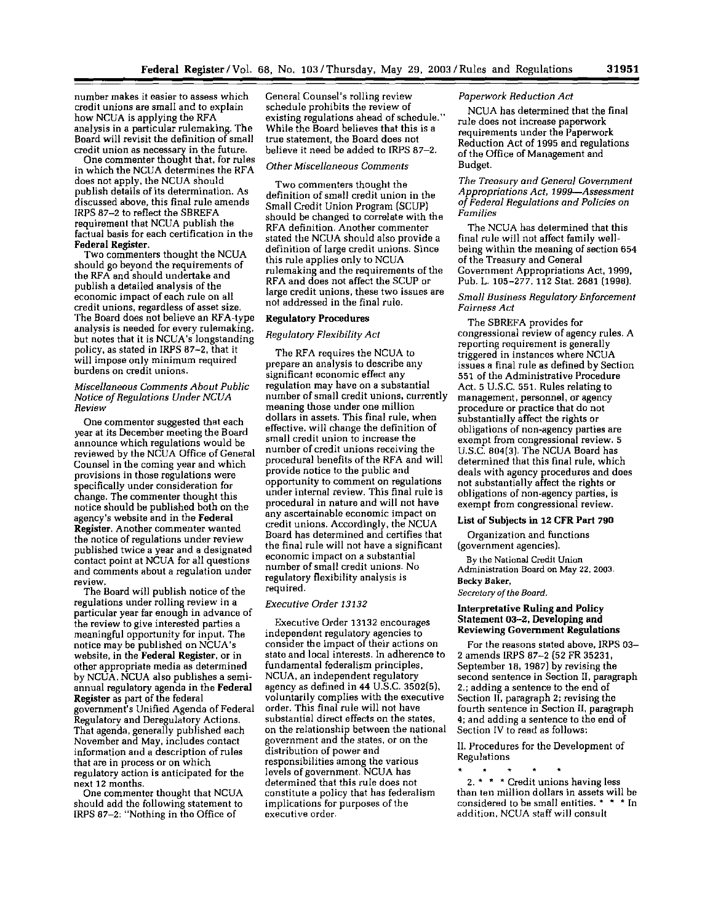number makes it easier to assess which credit unions are small and to explain how NCUA is applying the RFA analysis in a particular rulemaking. The Board will revisit the definition of small credit union as necessary in the future.

One commenter thought that. for rules in which the NCUA determines the RFA does not apply, the NCUA should publish details of its determination. As discussed above, this final rule amends !RPS 87-2 to reflect the SBREFA requirement that NCUA publish the factual basis for each certification in the Federal Register.

Two commenters thought the NCUA should go beyond the requirements of the RFA and should undertake and publish a detailed analysis of the economic impact of each rule on all credit unions, regardless of asset size. The Board does not believe an RFA-type analysis is needed for every rulemaking. but notes that it is NCUA 's longstanding policy, as stated in IRPS 87-2, that it will impose only minimum required burdens on credit unions.

#### *Miscellaneous Comments About Public Notice of Regulations Under NCUA Review*

One commenter suggested that each year at its December meeting the Board announce which regulations would be reviewed by the NCUA Office of General Counsel in the coming year and which provisions in those regulations were specifically under consideration for change. The commenter thought this notice should be published both on the agency's website and in the Federal Register. Another commenter wanted the notice of regulations under review published twice a year and a designated contact point at NCUA for all questions and comments about a regulation under review.

The Board will publish notice of the regulations under rolling review in a particular year far enough in advance of the review to give interested parties a meaningful opportunity for input. The notice may be published on NCUA's website, in the Federal Register, or in other appropriate media as determined by NCUA. NCUA also publishes a semiannual regulatory agenda in the Federal Register as part of the federal government's Unified Agenda of Federal Regulatory and Deregulatory Actions. That agenda, generally published each November and May, includes contact information and a description of rules that are in process or on which regulatory action is anticipated for the next 12 months.

One commenter thought that NCUA should add the following statement to IRPS 87-2: "Nothing in the Office of

General Counsel's rolling review schedule prohibits the review of existing regulations ahead of schedule." While the Board believes that this is a true statement, the Board does not believe it need be added to IRPS 87-2.

#### *Other Miscellaneous Comments*

Two commenters thought the definition of small credit union in the Small Credit Union Program (SCUP) should be changed to correlate with the RFA definition. Another commenter stated the NCUA should also provide a definition of large credit unions. Since this rule applies only to NCUA rulemaking and the requirements of the RFA and does not affect the SCUP or large credit unions, these two issues are not addressed in the final rule.

#### Regulatory Procedures

#### *Regulatory Flexibility Act*

The RFA requires the NCUA to prepare an analysis to describe any significant economic effect any regulation may have on a substantial number of small credit unions, currently meaning those under one million dollars in assets. This final rule, when effective, will change the definition of small credit union to increase the number of credit unions receiving the procedural benefits of the RFA and will provide notice to the public and opportunity to comment on regulations under internal review. This final rule is procedural in nature and will not have any ascertainable economic impact on credit unions. Accordingly, the NCUA Board has determined and certifies that the final rule will not have a significant economic impact on a substantial number of small credit unions. No regulatory flexibility analysis is required.

#### *Executive Order 13132*

Executive Order 13132 encourages independent regulatory agencies to consider the impact of their actions on state and local interests. In adherence to fundamental federalism principles, NCUA, an independent regulatory agency as defined in 44 U.S.C. 3502(5), voluntarily complies with the executive order. This final rule will not have substantial direct effects on the states, on the relationship between the national government and the states, or on the distribution of power and responsibilities among the various levels of government. NCUA has determined that this rule does not constitute a policy that has federalism implications for purposes of the executive order.

#### *Paperwork Reduction Act*

NCUA has determined that the final rule does not increase paperwork requirements under the Paperwork Reduction Act of 1995 and regulations of the Office of Management and Budget.

*The Treasury and General Government Appropriations Act, 1999-Assessment of Federal Regulations and Policies on Families* 

The NCUA has determined that this final rule will not affect family wellbeing within the meaning of section 654 of the Treasury and General Government Appropriations Act, 1999, Pub. L. 105-277, 112 Stat. 2681 (1998).

#### *Small Business Regulatory Enforcement Fairness Act*

The SBREFA provides for congressional review of agency rules. A reporting requirement is generally triggered in instances where NCUA issues a final rule as defined by Section 551 of the Administrative Procedure Act. 5 U.S.C. 551. Rules relating to management, personnel, or agency procedure or practice that do not substantially affect the rights or obligations of non-agency parties are exempt from congressional review. 5 U.S.C. 804(3). The NCUA Board has determined that this final rule, which deals with agency procedures and does not substantially affect the rights or obligations of non-agency parties, is exempt from congressional review.

#### List of Subjects in 12 CFR Part 790

Organization and functions (government agencies).

By the National Credit Union Administration Board on May 22, 2003. Becky Baker,

*Secrotary of the Board.* 

#### Interpretative Ruling and Policy Statement 03-2, Developing and Reviewing Government Regulations

For the reasons stated above, IRPS 03-2 amends !RPS 87-2 (52 FR 35231, September 18, 1987) by revising the second sentence in Section II, paragraph 2.; adding a sentence to the end of Section II, paragraph 2; revising the fourth sentence in Section II, paragraph 4; and adding a sentence to the end of Section IV to read as follows:

IL Procedures for the Development of Regulations

• 2. \* \* \* Credit unions having less than ten million dollars in assets will be considered to be small entities. \* \* \* In addition, NCUA staff will consult